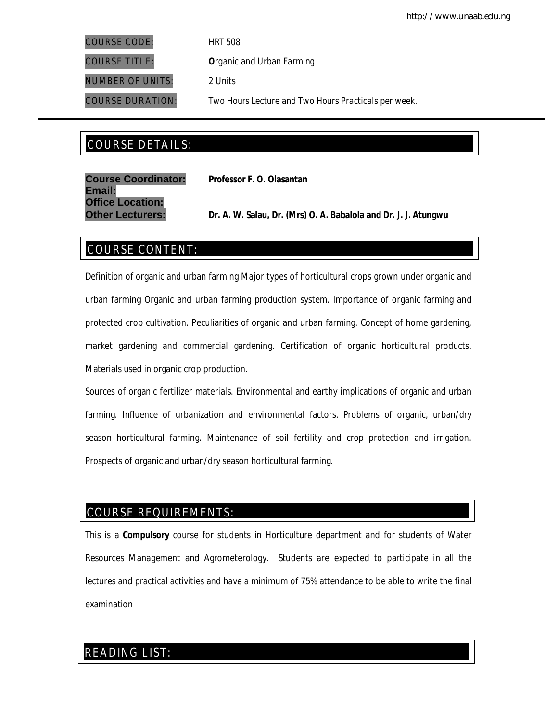COURSE CODE: *HRT 508*

COURSE TITLE: *Organic and Urban Farming*

NUMBER OF UNITS: *2 Units*

COURSE DURATION: *Two Hours Lecture and Two Hours Practicals per week.*

# COURSE DETAILS: COURSE DETAILS:

| <b>Course Coordinator:</b> | Professor F. O. Olasantan                                       |  |
|----------------------------|-----------------------------------------------------------------|--|
| Email:                     |                                                                 |  |
| <b>Office Location:</b>    |                                                                 |  |
| <b>Other Lecturers:</b>    | Dr. A. W. Salau, Dr. (Mrs) O. A. Babalola and Dr. J. J. Atungwu |  |

# COURSE CONTENT:

Definition of organic and urban farming Major types of horticultural crops grown under organic and urban farming Organic and urban farming production system. Importance of organic farming and protected crop cultivation. Peculiarities of organic and urban farming. Concept of home gardening, market gardening and commercial gardening. Certification of organic horticultural products. Materials used in organic crop production.

Sources of organic fertilizer materials. Environmental and earthy implications of organic and urban farming. Influence of urbanization and environmental factors. Problems of organic, urban/dry season horticultural farming. Maintenance of soil fertility and crop protection and irrigation. Prospects of organic and urban/dry season horticultural farming.

# COURSE REQUIREMENTS:

This is a **Compulsory** course for students in Horticulture department and for students of Water Resources Management and Agrometerology. Students are expected to participate in all the lectures and practical activities and have a minimum of 75% attendance to be able to write the final examination

# READING LIST: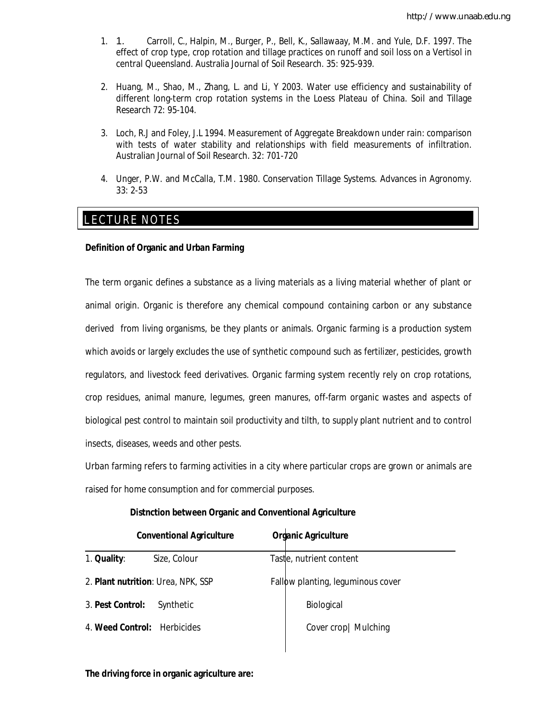- 1. 1. Carroll, C., Halpin, M., Burger, P., Bell, K., Sallawaay, M.M. and Yule, D.F. 1997. The effect of crop type, crop rotation and tillage practices on runoff and soil loss on a Vertisol in central Queensland. Australia Journal of Soil Research. 35: 925-939.
- 2. Huang, M., Shao, M., Zhang, L. and Li, Y 2003. Water use efficiency and sustainability of different long-term crop rotation systems in the Loess Plateau of China. Soil and Tillage Research 72: 95-104.
- 3. Loch, R.J and Foley, J.L 1994. Measurement of Aggregate Breakdown under rain: comparison with tests of water stability and relationships with field measurements of infiltration. Australian Journal of Soil Research. 32: 701-720
- 4. Unger, P.W. and McCalla, T.M. 1980. Conservation Tillage Systems. Advances in Agronomy. 33: 2-53

# E LECTURE NOTES

### **Definition of Organic and Urban Farming**

The term organic defines a substance as a living materials as a living material whether of plant or animal origin. Organic is therefore any chemical compound containing carbon or any substance derived from living organisms, be they plants or animals. Organic farming is a production system which avoids or largely excludes the use of synthetic compound such as fertilizer, pesticides, growth regulators, and livestock feed derivatives. Organic farming system recently rely on crop rotations, crop residues, animal manure, legumes, green manures, off-farm organic wastes and aspects of biological pest control to maintain soil productivity and tilth, to supply plant nutrient and to control insects, diseases, weeds and other pests.

Urban farming refers to farming activities in a city where particular crops are grown or animals are raised for home consumption and for commercial purposes.

#### **Distnction between Organic and Conventional Agriculture**

|                             | <b>Conventional Agriculture</b>    | <b>Organic Agriculture</b>        |
|-----------------------------|------------------------------------|-----------------------------------|
| 1. Quality:                 | Size, Colour                       | Tastle, nutrient content          |
|                             | 2. Plant nutrition: Urea, NPK, SSP | Fallow planting, leguminous cover |
| 3. Pest Control:            | Synthetic                          | Biological                        |
| 4. Weed Control: Herbicides |                                    | Cover crop   Mulching             |

#### **The driving force in organic agriculture are:**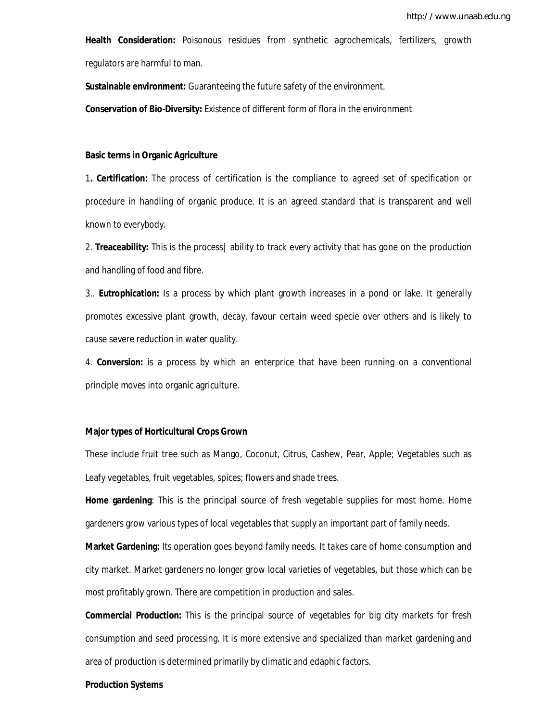**Health Consideration:** Poisonous residues from synthetic agrochemicals, fertilizers, growth regulators are harmful to man.

**Sustainable environment:** Guaranteeing the future safety of the environment.

**Conservation of Bio-Diversity:** Existence of different form of flora in the environment

#### **Basic terms in Organic Agriculture**

1**. Certification:** The process of certification is the compliance to agreed set of specification or procedure in handling of organic produce. It is an agreed standard that is transparent and well known to everybody.

2. **Treaceability:** This is the process| ability to track every activity that has gone on the production and handling of food and fibre.

3.. **Eutrophication:** Is a process by which plant growth increases in a pond or lake. It generally promotes excessive plant growth, decay, favour certain weed specie over others and is likely to cause severe reduction in water quality.

4. **Conversion:** is a process by which an enterprice that have been running on a conventional principle moves into organic agriculture.

#### **Major types of Horticultural Crops Grown**

These include fruit tree such as Mango, Coconut, Citrus, Cashew, Pear, Apple; Vegetables such as Leafy vegetables, fruit vegetables, spices; flowers and shade trees.

**Home gardening**: This is the principal source of fresh vegetable supplies for most home. Home gardeners grow various types of local vegetables that supply an important part of family needs.

**Market Gardening:** Its operation goes beyond family needs. It takes care of home consumption and city market. Market gardeners no longer grow local varieties of vegetables, but those which can be most profitably grown. There are competition in production and sales.

**Commercial Production:** This is the principal source of vegetables for big city markets for fresh consumption and seed processing. It is more extensive and specialized than market gardening and area of production is determined primarily by climatic and edaphic factors.

#### **Production Systems**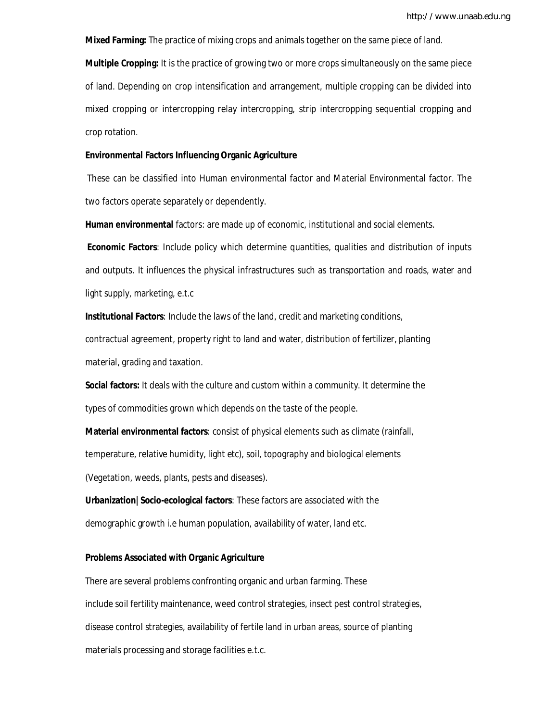**Mixed Farming:** The practice of mixing crops and animals together on the same piece of land. **Multiple Cropping:** It is the practice of growing two or more crops simultaneously on the same piece of land. Depending on crop intensification and arrangement, multiple cropping can be divided into mixed cropping or intercropping relay intercropping, strip intercropping sequential cropping and crop rotation.

#### **Environmental Factors Influencing Organic Agriculture**

These can be classified into Human environmental factor and Material Environmental factor. The two factors operate separately or dependently.

**Human environmental** factors: are made up of economic, institutional and social elements.

**Economic Factors**: Include policy which determine quantities, qualities and distribution of inputs and outputs. It influences the physical infrastructures such as transportation and roads, water and light supply, marketing, e.t.c

**Institutional Factors**: Include the laws of the land, credit and marketing conditions, contractual agreement, property right to land and water, distribution of fertilizer, planting material, grading and taxation.

**Social factors:** It deals with the culture and custom within a community. It determine the types of commodities grown which depends on the taste of the people.

**Material environmental factors**: consist of physical elements such as climate (rainfall, temperature, relative humidity, light etc), soil, topography and biological elements (Vegetation, weeds, plants, pests and diseases).

**Urbanization|Socio-ecological factors**: These factors are associated with the demographic growth i.e human population, availability of water, land etc.

#### **Problems Associated with Organic Agriculture**

There are several problems confronting organic and urban farming. These include soil fertility maintenance, weed control strategies, insect pest control strategies, disease control strategies, availability of fertile land in urban areas, source of planting materials processing and storage facilities e.t.c.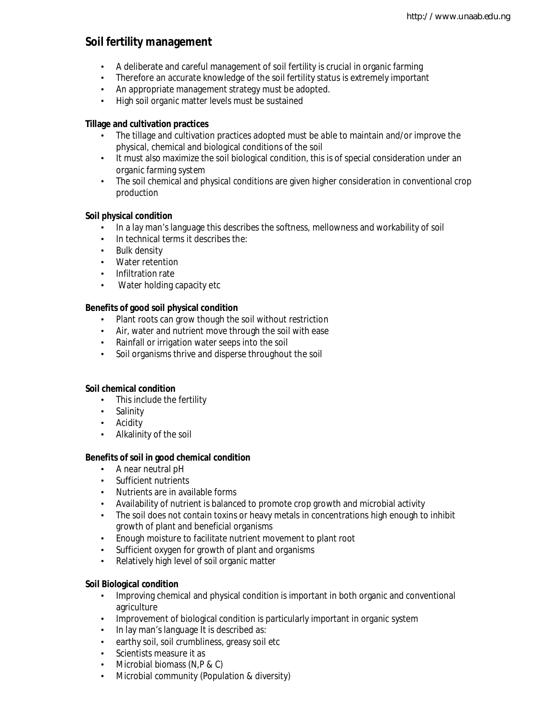# **Soil fertility management**

- A deliberate and careful management of soil fertility is crucial in organic farming
- Therefore an accurate knowledge of the soil fertility status is extremely important
- An appropriate management strategy must be adopted.
- High soil organic matter levels must be sustained

# **Tillage and cultivation practices**

- The tillage and cultivation practices adopted must be able to maintain and/or improve the physical, chemical and biological conditions of the soil
- It must also maximize the soil biological condition, this is of special consideration under an organic farming system
- The soil chemical and physical conditions are given higher consideration in conventional crop production

# **Soil physical condition**

- In a lay man's language this describes the softness, mellowness and workability of soil
- In technical terms it describes the:
- Bulk density
- Water retention
- Infiltration rate
- Water holding capacity etc

# **Benefits of good soil physical condition**

- Plant roots can grow though the soil without restriction
- Air, water and nutrient move through the soil with ease
- Rainfall or irrigation water seeps into the soil
- Soil organisms thrive and disperse throughout the soil

# **Soil chemical condition**

- This include the fertility
- Salinity
- Acidity
- Alkalinity of the soil

# **Benefits of soil in good chemical condition**

- A near neutral pH
- Sufficient nutrients
- Nutrients are in available forms
- Availability of nutrient is balanced to promote crop growth and microbial activity
- The soil does not contain toxins or heavy metals in concentrations high enough to inhibit growth of plant and beneficial organisms
- Enough moisture to facilitate nutrient movement to plant root
- Sufficient oxygen for growth of plant and organisms
- Relatively high level of soil organic matter

# **Soil Biological condition**

- Improving chemical and physical condition is important in both organic and conventional agriculture
- Improvement of biological condition is particularly important in organic system
- In lay man's language It is described as:
- earthy soil, soil crumbliness, greasy soil etc
- Scientists measure it as
- Microbial biomass (N,P & C)
- Microbial community (Population & diversity)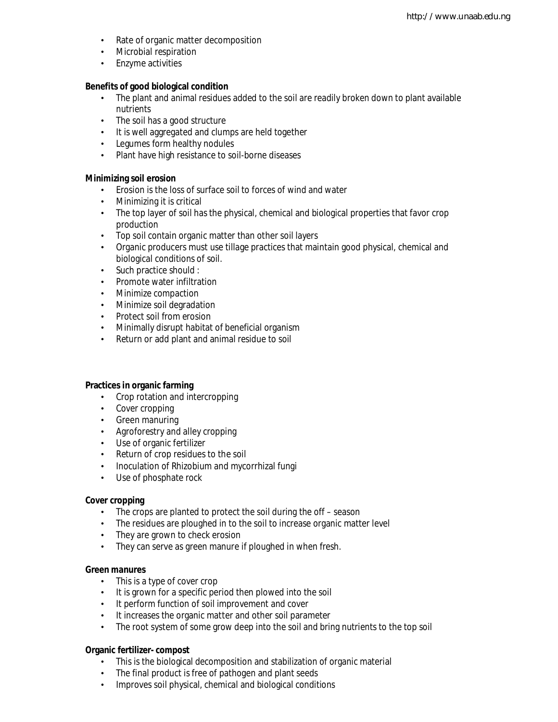- Rate of organic matter decomposition
- Microbial respiration
- Enzyme activities

#### **Benefits of good biological condition**

- The plant and animal residues added to the soil are readily broken down to plant available nutrients
- The soil has a good structure
- It is well aggregated and clumps are held together
- Legumes form healthy nodules
- Plant have high resistance to soil-borne diseases

### **Minimizing soil erosion**

- Erosion is the loss of surface soil to forces of wind and water
- Minimizing it is critical
- The top layer of soil has the physical, chemical and biological properties that favor crop production
- Top soil contain organic matter than other soil layers
- Organic producers must use tillage practices that maintain good physical, chemical and biological conditions of soil.
- Such practice should :
- Promote water infiltration
- Minimize compaction
- Minimize soil degradation
- Protect soil from erosion
- Minimally disrupt habitat of beneficial organism
- Return or add plant and animal residue to soil

### **Practices in organic farming**

- Crop rotation and intercropping
- Cover cropping
- Green manuring
- Agroforestry and alley cropping
- Use of organic fertilizer
- Return of crop residues to the soil
- Inoculation of Rhizobium and mycorrhizal fungi
- Use of phosphate rock

#### **Cover cropping**

- The crops are planted to protect the soil during the off season
- The residues are ploughed in to the soil to increase organic matter level
- They are grown to check erosion
- They can serve as green manure if ploughed in when fresh.

#### **Green manures**

- This is a type of cover crop
- It is grown for a specific period then plowed into the soil
- It perform function of soil improvement and cover
- It increases the organic matter and other soil parameter
- The root system of some grow deep into the soil and bring nutrients to the top soil

#### **Organic fertilizer- compost**

- This is the biological decomposition and stabilization of organic material
- The final product is free of pathogen and plant seeds
- Improves soil physical, chemical and biological conditions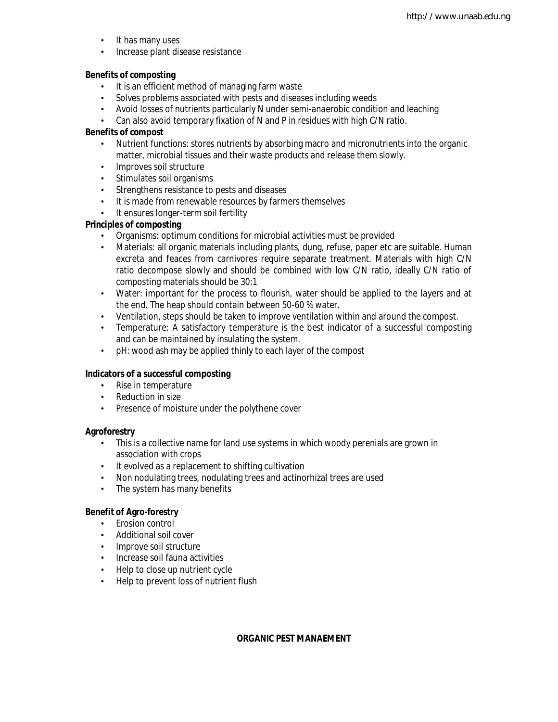- It has many uses
- Increase plant disease resistance

### **Benefits of composting**

- It is an efficient method of managing farm waste
- Solves problems associated with pests and diseases including weeds
- Avoid losses of nutrients particularly N under semi-anaerobic condition and leaching
- Can also avoid temporary fixation of N and P in residues with high C/N ratio.

# **Benefits of compost**

- Nutrient functions: stores nutrients by absorbing macro and micronutrients into the organic matter, microbial tissues and their waste products and release them slowly.
- Improves soil structure
- Stimulates soil organisms
- Strengthens resistance to pests and diseases
- It is made from renewable resources by farmers themselves
- It ensures longer-term soil fertility

# **Principles of composting**

- Organisms: optimum conditions for microbial activities must be provided
- Materials: all organic materials including plants, dung, refuse, paper etc are suitable. Human excreta and feaces from carnivores require separate treatment. Materials with high C/N ratio decompose slowly and should be combined with low C/N ratio, ideally C/N ratio of composting materials should be 30:1
- Water: important for the process to flourish, water should be applied to the layers and at the end. The heap should contain between 50-60 % water.
- Ventilation, steps should be taken to improve ventilation within and around the compost.
- Temperature: A satisfactory temperature is the best indicator of a successful composting and can be maintained by insulating the system.
- pH: wood ash may be applied thinly to each layer of the compost

# **Indicators of a successful composting**

- Rise in temperature
- Reduction in size
- Presence of moisture under the polythene cover

# **Agroforestry**

- This is a collective name for land use systems in which woody perenials are grown in association with crops
- It evolved as a replacement to shifting cultivation
- Non nodulating trees, nodulating trees and actinorhizal trees are used
- The system has many benefits

# **Benefit of Agro-forestry**

- Erosion control
- Additional soil cover
- Improve soil structure
- Increase soil fauna activities
- Help to close up nutrient cycle
- Help to prevent loss of nutrient flush

# **ORGANIC PEST MANAEMENT**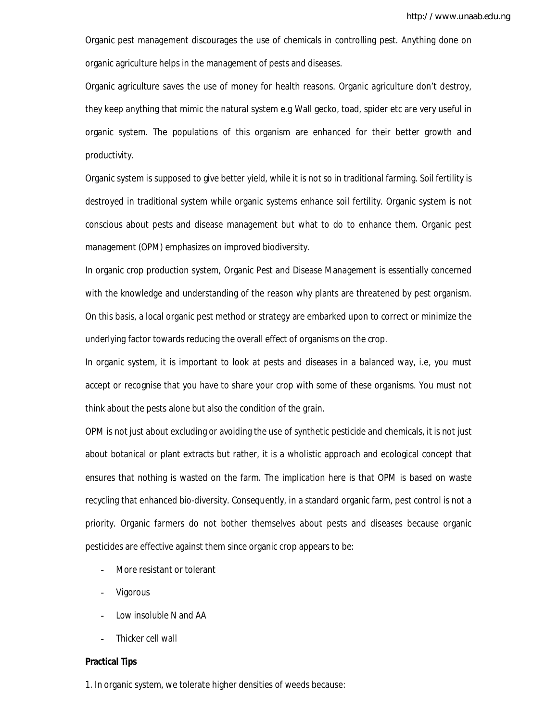Organic pest management discourages the use of chemicals in controlling pest. Anything done on organic agriculture helps in the management of pests and diseases.

Organic agriculture saves the use of money for health reasons. Organic agriculture don't destroy, they keep anything that mimic the natural system e.g Wall gecko, toad, spider etc are very useful in organic system. The populations of this organism are enhanced for their better growth and productivity.

Organic system is supposed to give better yield, while it is not so in traditional farming. Soil fertility is destroyed in traditional system while organic systems enhance soil fertility. Organic system is not conscious about pests and disease management but what to do to enhance them. Organic pest management (OPM) emphasizes on improved biodiversity.

In organic crop production system, Organic Pest and Disease Management is essentially concerned with the knowledge and understanding of the reason why plants are threatened by pest organism. On this basis, a local organic pest method or strategy are embarked upon to correct or minimize the underlying factor towards reducing the overall effect of organisms on the crop.

In organic system, it is important to look at pests and diseases in a balanced way, i.e, you must accept or recognise that you have to share your crop with some of these organisms. You must not think about the pests alone but also the condition of the grain.

OPM is not just about excluding or avoiding the use of synthetic pesticide and chemicals, it is not just about botanical or plant extracts but rather, it is a wholistic approach and ecological concept that ensures that nothing is wasted on the farm. The implication here is that OPM is based on waste recycling that enhanced bio-diversity. Consequently, in a standard organic farm, pest control is not a priority. Organic farmers do not bother themselves about pests and diseases because organic pesticides are effective against them since organic crop appears to be:

- More resistant or tolerant
- Vigorous
- Low insoluble N and AA
- Thicker cell wall

#### **Practical Tips**

1. In organic system, we tolerate higher densities of weeds because: